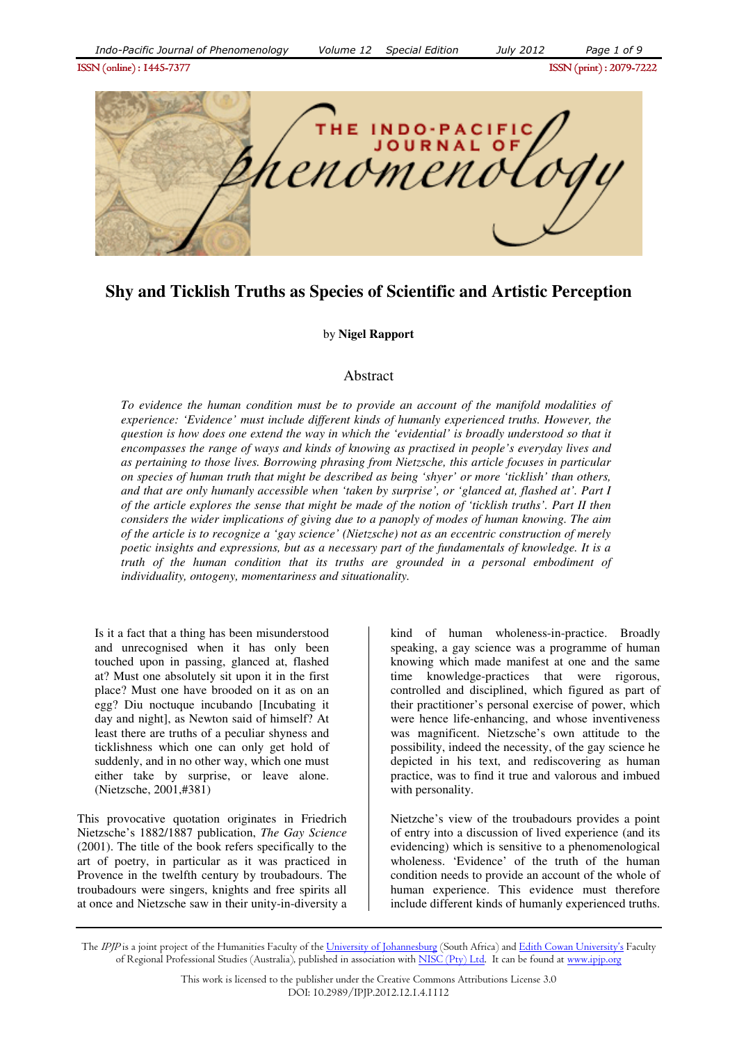

# **Shy and Ticklish Truths as Species of Scientific and Artistic Perception**

by **Nigel Rapport** 

#### Abstract

*To evidence the human condition must be to provide an account of the manifold modalities of experience: 'Evidence' must include different kinds of humanly experienced truths. However, the question is how does one extend the way in which the 'evidential' is broadly understood so that it encompasses the range of ways and kinds of knowing as practised in people's everyday lives and as pertaining to those lives. Borrowing phrasing from Nietzsche, this article focuses in particular on species of human truth that might be described as being 'shyer' or more 'ticklish' than others, and that are only humanly accessible when 'taken by surprise', or 'glanced at, flashed at'. Part I of the article explores the sense that might be made of the notion of 'ticklish truths'. Part II then considers the wider implications of giving due to a panoply of modes of human knowing. The aim of the article is to recognize a 'gay science' (Nietzsche) not as an eccentric construction of merely poetic insights and expressions, but as a necessary part of the fundamentals of knowledge. It is a truth of the human condition that its truths are grounded in a personal embodiment of individuality, ontogeny, momentariness and situationality.* 

Is it a fact that a thing has been misunderstood and unrecognised when it has only been touched upon in passing, glanced at, flashed at? Must one absolutely sit upon it in the first place? Must one have brooded on it as on an egg? Diu noctuque incubando [Incubating it day and night], as Newton said of himself? At least there are truths of a peculiar shyness and ticklishness which one can only get hold of suddenly, and in no other way, which one must either take by surprise, or leave alone. (Nietzsche, 2001,#381)

This provocative quotation originates in Friedrich Nietzsche's 1882/1887 publication, *The Gay Science* (2001). The title of the book refers specifically to the art of poetry, in particular as it was practiced in Provence in the twelfth century by troubadours. The troubadours were singers, knights and free spirits all at once and Nietzsche saw in their unity-in-diversity a kind of human wholeness-in-practice. Broadly speaking, a gay science was a programme of human knowing which made manifest at one and the same time knowledge-practices that were rigorous, controlled and disciplined, which figured as part of their practitioner's personal exercise of power, which were hence life-enhancing, and whose inventiveness was magnificent. Nietzsche's own attitude to the possibility, indeed the necessity, of the gay science he depicted in his text, and rediscovering as human practice, was to find it true and valorous and imbued with personality.

Nietzche's view of the troubadours provides a point of entry into a discussion of lived experience (and its evidencing) which is sensitive to a phenomenological wholeness. 'Evidence' of the truth of the human condition needs to provide an account of the whole of human experience. This evidence must therefore include different kinds of humanly experienced truths.

The IPJP is a joint project of the Humanities Faculty of the University of Johannesburg (South Africa) and Edith Cowan University's Faculty of Regional Professional Studies (Australia), published in association with NISC (Pty) Ltd. It can be found at www.ipip.org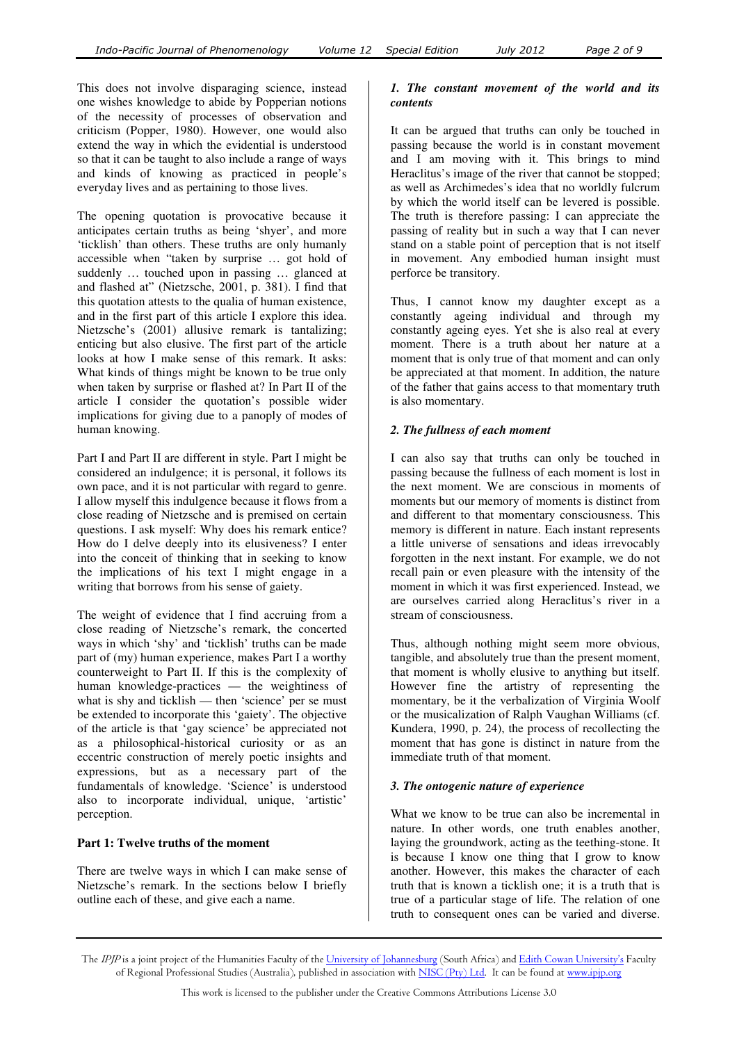This does not involve disparaging science, instead one wishes knowledge to abide by Popperian notions of the necessity of processes of observation and criticism (Popper, 1980). However, one would also extend the way in which the evidential is understood so that it can be taught to also include a range of ways and kinds of knowing as practiced in people's everyday lives and as pertaining to those lives.

The opening quotation is provocative because it anticipates certain truths as being 'shyer', and more 'ticklish' than others. These truths are only humanly accessible when "taken by surprise … got hold of suddenly … touched upon in passing … glanced at and flashed at" (Nietzsche, 2001, p. 381). I find that this quotation attests to the qualia of human existence, and in the first part of this article I explore this idea. Nietzsche's (2001) allusive remark is tantalizing; enticing but also elusive. The first part of the article looks at how I make sense of this remark. It asks: What kinds of things might be known to be true only when taken by surprise or flashed at? In Part II of the article I consider the quotation's possible wider implications for giving due to a panoply of modes of human knowing.

Part I and Part II are different in style. Part I might be considered an indulgence; it is personal, it follows its own pace, and it is not particular with regard to genre. I allow myself this indulgence because it flows from a close reading of Nietzsche and is premised on certain questions. I ask myself: Why does his remark entice? How do I delve deeply into its elusiveness? I enter into the conceit of thinking that in seeking to know the implications of his text I might engage in a writing that borrows from his sense of gaiety.

The weight of evidence that I find accruing from a close reading of Nietzsche's remark, the concerted ways in which 'shy' and 'ticklish' truths can be made part of (my) human experience, makes Part I a worthy counterweight to Part II. If this is the complexity of human knowledge-practices — the weightiness of what is shy and ticklish — then 'science' per se must be extended to incorporate this 'gaiety'. The objective of the article is that 'gay science' be appreciated not as a philosophical-historical curiosity or as an eccentric construction of merely poetic insights and expressions, but as a necessary part of the fundamentals of knowledge. 'Science' is understood also to incorporate individual, unique, 'artistic' perception.

#### **Part 1: Twelve truths of the moment**

There are twelve ways in which I can make sense of Nietzsche's remark. In the sections below I briefly outline each of these, and give each a name.

#### *1. The constant movement of the world and its contents*

It can be argued that truths can only be touched in passing because the world is in constant movement and I am moving with it. This brings to mind Heraclitus's image of the river that cannot be stopped; as well as Archimedes's idea that no worldly fulcrum by which the world itself can be levered is possible. The truth is therefore passing: I can appreciate the passing of reality but in such a way that I can never stand on a stable point of perception that is not itself in movement. Any embodied human insight must perforce be transitory.

Thus, I cannot know my daughter except as a constantly ageing individual and through my constantly ageing eyes. Yet she is also real at every moment. There is a truth about her nature at a moment that is only true of that moment and can only be appreciated at that moment. In addition, the nature of the father that gains access to that momentary truth is also momentary.

#### *2. The fullness of each moment*

I can also say that truths can only be touched in passing because the fullness of each moment is lost in the next moment. We are conscious in moments of moments but our memory of moments is distinct from and different to that momentary consciousness. This memory is different in nature. Each instant represents a little universe of sensations and ideas irrevocably forgotten in the next instant. For example, we do not recall pain or even pleasure with the intensity of the moment in which it was first experienced. Instead, we are ourselves carried along Heraclitus's river in a stream of consciousness.

Thus, although nothing might seem more obvious, tangible, and absolutely true than the present moment, that moment is wholly elusive to anything but itself. However fine the artistry of representing the momentary, be it the verbalization of Virginia Woolf or the musicalization of Ralph Vaughan Williams (cf. Kundera, 1990, p. 24), the process of recollecting the moment that has gone is distinct in nature from the immediate truth of that moment.

#### *3. The ontogenic nature of experience*

What we know to be true can also be incremental in nature. In other words, one truth enables another, laying the groundwork, acting as the teething-stone. It is because I know one thing that I grow to know another. However, this makes the character of each truth that is known a ticklish one; it is a truth that is true of a particular stage of life. The relation of one truth to consequent ones can be varied and diverse.

The *IPJP* is a joint project of the Humanities Faculty of the <u>University of Johannesburg</u> (South Africa) and <u>Edith Cowan University's</u> Faculty of Regional Professional Studies (Australia), published in association with <u>NISC (Pty) Ltd</u>. It can be found at <u>www.ipjp.org</u>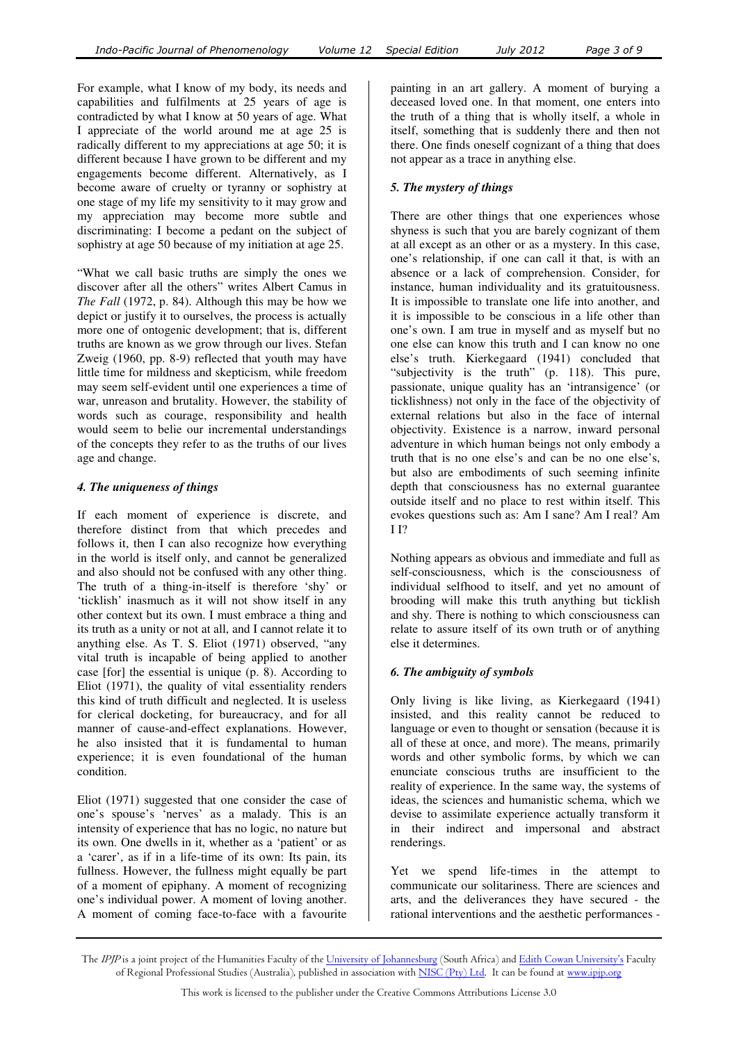For example, what I know of my body, its needs and capabilities and fulfilments at 25 years of age is contradicted by what I know at 50 years of age. What I appreciate of the world around me at age 25 is radically different to my appreciations at age 50; it is different because I have grown to be different and my engagements become different. Alternatively, as I become aware of cruelty or tyranny or sophistry at one stage of my life my sensitivity to it may grow and my appreciation may become more subtle and discriminating: I become a pedant on the subject of sophistry at age 50 because of my initiation at age 25.

"What we call basic truths are simply the ones we discover after all the others" writes Albert Camus in *The Fall* (1972, p. 84). Although this may be how we depict or justify it to ourselves, the process is actually more one of ontogenic development; that is, different truths are known as we grow through our lives. Stefan Zweig (1960, pp. 8-9) reflected that youth may have little time for mildness and skepticism, while freedom may seem self-evident until one experiences a time of war, unreason and brutality. However, the stability of words such as courage, responsibility and health would seem to belie our incremental understandings of the concepts they refer to as the truths of our lives age and change.

#### *4. The uniqueness of things*

If each moment of experience is discrete, and therefore distinct from that which precedes and follows it, then I can also recognize how everything in the world is itself only, and cannot be generalized and also should not be confused with any other thing. The truth of a thing-in-itself is therefore 'shy' or 'ticklish' inasmuch as it will not show itself in any other context but its own. I must embrace a thing and its truth as a unity or not at all, and I cannot relate it to anything else. As T. S. Eliot (1971) observed, "any vital truth is incapable of being applied to another case [for] the essential is unique (p. 8). According to Eliot (1971), the quality of vital essentiality renders this kind of truth difficult and neglected. It is useless for clerical docketing, for bureaucracy, and for all manner of cause-and-effect explanations. However, he also insisted that it is fundamental to human experience; it is even foundational of the human condition.

Eliot (1971) suggested that one consider the case of one's spouse's 'nerves' as a malady. This is an intensity of experience that has no logic, no nature but its own. One dwells in it, whether as a 'patient' or as a 'carer', as if in a life-time of its own: Its pain, its fullness. However, the fullness might equally be part of a moment of epiphany. A moment of recognizing one's individual power. A moment of loving another. A moment of coming face-to-face with a favourite

painting in an art gallery. A moment of burying a deceased loved one. In that moment, one enters into the truth of a thing that is wholly itself, a whole in itself, something that is suddenly there and then not there. One finds oneself cognizant of a thing that does not appear as a trace in anything else.

# *5. The mystery of things*

There are other things that one experiences whose shyness is such that you are barely cognizant of them at all except as an other or as a mystery. In this case, one's relationship, if one can call it that, is with an absence or a lack of comprehension. Consider, for instance, human individuality and its gratuitousness. It is impossible to translate one life into another, and it is impossible to be conscious in a life other than one's own. I am true in myself and as myself but no one else can know this truth and I can know no one else's truth. Kierkegaard (1941) concluded that "subjectivity is the truth" (p. 118). This pure, passionate, unique quality has an 'intransigence' (or ticklishness) not only in the face of the objectivity of external relations but also in the face of internal objectivity. Existence is a narrow, inward personal adventure in which human beings not only embody a truth that is no one else's and can be no one else's, but also are embodiments of such seeming infinite depth that consciousness has no external guarantee outside itself and no place to rest within itself. This evokes questions such as: Am I sane? Am I real? Am I I?

Nothing appears as obvious and immediate and full as self-consciousness, which is the consciousness of individual selfhood to itself, and yet no amount of brooding will make this truth anything but ticklish and shy. There is nothing to which consciousness can relate to assure itself of its own truth or of anything else it determines.

#### *6. The ambiguity of symbols*

Only living is like living, as Kierkegaard (1941) insisted, and this reality cannot be reduced to language or even to thought or sensation (because it is all of these at once, and more). The means, primarily words and other symbolic forms, by which we can enunciate conscious truths are insufficient to the reality of experience. In the same way, the systems of ideas, the sciences and humanistic schema, which we devise to assimilate experience actually transform it in their indirect and impersonal and abstract renderings.

Yet we spend life-times in the attempt to communicate our solitariness. There are sciences and arts, and the deliverances they have secured - the rational interventions and the aesthetic performances -

The IPJP is a joint project of the Humanities Faculty of the University of Johannesburg (South Africa) and Edith Cowan University's Faculty of Regional Professional Studies (Australia), published in association with NISC (Pty) Ltd. It can be found at www.ipjp.org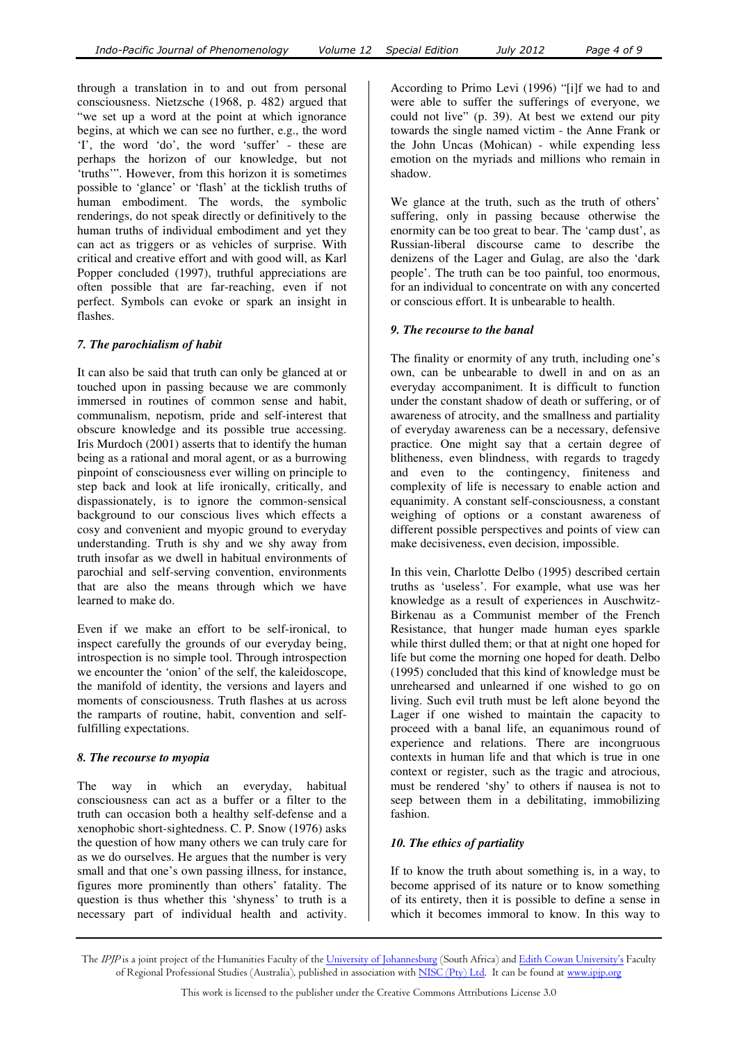through a translation in to and out from personal consciousness. Nietzsche (1968, p. 482) argued that "we set up a word at the point at which ignorance begins, at which we can see no further, e.g., the word 'I', the word 'do', the word 'suffer' - these are perhaps the horizon of our knowledge, but not 'truths'". However, from this horizon it is sometimes possible to 'glance' or 'flash' at the ticklish truths of human embodiment. The words, the symbolic renderings, do not speak directly or definitively to the human truths of individual embodiment and yet they can act as triggers or as vehicles of surprise. With critical and creative effort and with good will, as Karl Popper concluded (1997), truthful appreciations are often possible that are far-reaching, even if not perfect. Symbols can evoke or spark an insight in flashes.

### *7. The parochialism of habit*

It can also be said that truth can only be glanced at or touched upon in passing because we are commonly immersed in routines of common sense and habit, communalism, nepotism, pride and self-interest that obscure knowledge and its possible true accessing. Iris Murdoch (2001) asserts that to identify the human being as a rational and moral agent, or as a burrowing pinpoint of consciousness ever willing on principle to step back and look at life ironically, critically, and dispassionately, is to ignore the common-sensical background to our conscious lives which effects a cosy and convenient and myopic ground to everyday understanding. Truth is shy and we shy away from truth insofar as we dwell in habitual environments of parochial and self-serving convention, environments that are also the means through which we have learned to make do.

Even if we make an effort to be self-ironical, to inspect carefully the grounds of our everyday being, introspection is no simple tool. Through introspection we encounter the 'onion' of the self, the kaleidoscope, the manifold of identity, the versions and layers and moments of consciousness. Truth flashes at us across the ramparts of routine, habit, convention and selffulfilling expectations.

#### *8. The recourse to myopia*

The way in which an everyday, habitual consciousness can act as a buffer or a filter to the truth can occasion both a healthy self-defense and a xenophobic short-sightedness. C. P. Snow (1976) asks the question of how many others we can truly care for as we do ourselves. He argues that the number is very small and that one's own passing illness, for instance, figures more prominently than others' fatality. The question is thus whether this 'shyness' to truth is a necessary part of individual health and activity.

According to Primo Levi (1996) "[i]f we had to and were able to suffer the sufferings of everyone, we could not live" (p. 39). At best we extend our pity towards the single named victim - the Anne Frank or the John Uncas (Mohican) - while expending less emotion on the myriads and millions who remain in shadow.

We glance at the truth, such as the truth of others' suffering, only in passing because otherwise the enormity can be too great to bear. The 'camp dust', as Russian-liberal discourse came to describe the denizens of the Lager and Gulag, are also the 'dark people'. The truth can be too painful, too enormous, for an individual to concentrate on with any concerted or conscious effort. It is unbearable to health.

#### *9. The recourse to the banal*

The finality or enormity of any truth, including one's own, can be unbearable to dwell in and on as an everyday accompaniment. It is difficult to function under the constant shadow of death or suffering, or of awareness of atrocity, and the smallness and partiality of everyday awareness can be a necessary, defensive practice. One might say that a certain degree of blitheness, even blindness, with regards to tragedy and even to the contingency, finiteness and complexity of life is necessary to enable action and equanimity. A constant self-consciousness, a constant weighing of options or a constant awareness of different possible perspectives and points of view can make decisiveness, even decision, impossible.

In this vein, Charlotte Delbo (1995) described certain truths as 'useless'. For example, what use was her knowledge as a result of experiences in Auschwitz-Birkenau as a Communist member of the French Resistance, that hunger made human eyes sparkle while thirst dulled them; or that at night one hoped for life but come the morning one hoped for death. Delbo (1995) concluded that this kind of knowledge must be unrehearsed and unlearned if one wished to go on living. Such evil truth must be left alone beyond the Lager if one wished to maintain the capacity to proceed with a banal life, an equanimous round of experience and relations. There are incongruous contexts in human life and that which is true in one context or register, such as the tragic and atrocious, must be rendered 'shy' to others if nausea is not to seep between them in a debilitating, immobilizing fashion.

# *10. The ethics of partiality*

If to know the truth about something is, in a way, to become apprised of its nature or to know something of its entirety, then it is possible to define a sense in which it becomes immoral to know. In this way to

The *IPJP* is a joint project of the Humanities Faculty of the <u>University of Johannesburg</u> (South Africa) and <u>Edith Cowan University's</u> Faculty of Regional Professional Studies (Australia), published in association with <u>NISC (Pty) Ltd</u>. It can be found at <u>www.ipjp.org</u>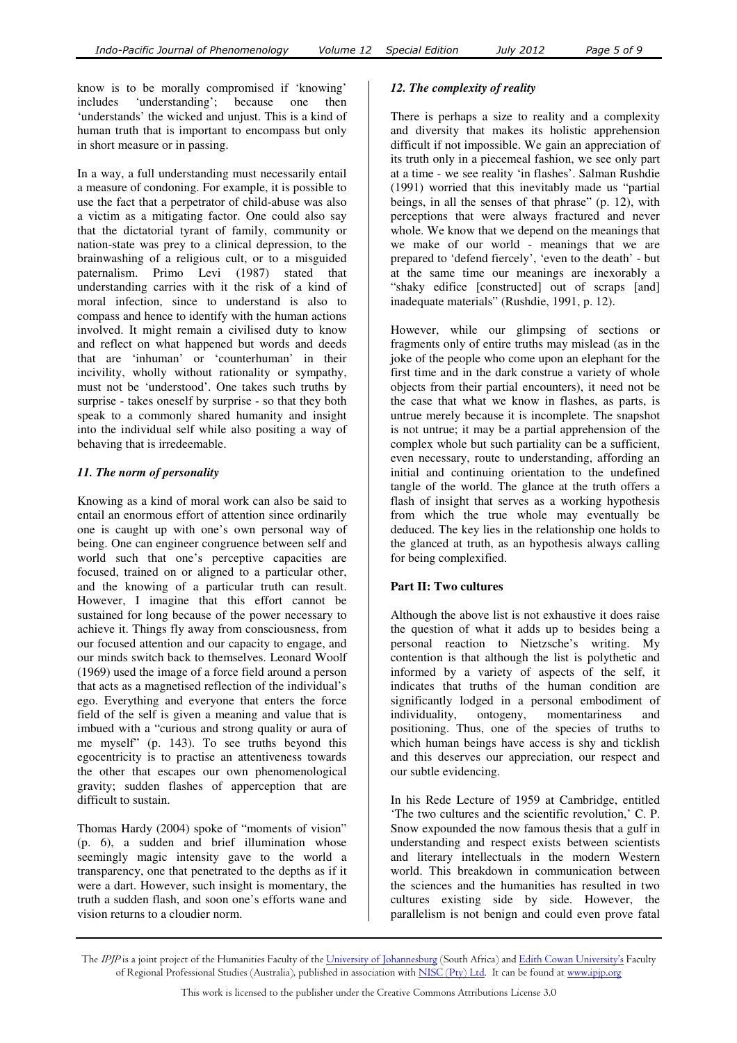know is to be morally compromised if 'knowing' includes 'understanding'; because one then 'understands' the wicked and unjust. This is a kind of human truth that is important to encompass but only in short measure or in passing.

In a way, a full understanding must necessarily entail a measure of condoning. For example, it is possible to use the fact that a perpetrator of child-abuse was also a victim as a mitigating factor. One could also say that the dictatorial tyrant of family, community or nation-state was prey to a clinical depression, to the brainwashing of a religious cult, or to a misguided paternalism. Primo Levi (1987) stated that understanding carries with it the risk of a kind of moral infection, since to understand is also to compass and hence to identify with the human actions involved. It might remain a civilised duty to know and reflect on what happened but words and deeds that are 'inhuman' or 'counterhuman' in their incivility, wholly without rationality or sympathy, must not be 'understood'. One takes such truths by surprise - takes oneself by surprise - so that they both speak to a commonly shared humanity and insight into the individual self while also positing a way of behaving that is irredeemable.

#### *11. The norm of personality*

Knowing as a kind of moral work can also be said to entail an enormous effort of attention since ordinarily one is caught up with one's own personal way of being. One can engineer congruence between self and world such that one's perceptive capacities are focused, trained on or aligned to a particular other, and the knowing of a particular truth can result. However, I imagine that this effort cannot be sustained for long because of the power necessary to achieve it. Things fly away from consciousness, from our focused attention and our capacity to engage, and our minds switch back to themselves. Leonard Woolf (1969) used the image of a force field around a person that acts as a magnetised reflection of the individual's ego. Everything and everyone that enters the force field of the self is given a meaning and value that is imbued with a "curious and strong quality or aura of me myself" (p. 143). To see truths beyond this egocentricity is to practise an attentiveness towards the other that escapes our own phenomenological gravity; sudden flashes of apperception that are difficult to sustain.

Thomas Hardy (2004) spoke of "moments of vision" (p. 6), a sudden and brief illumination whose seemingly magic intensity gave to the world a transparency, one that penetrated to the depths as if it were a dart. However, such insight is momentary, the truth a sudden flash, and soon one's efforts wane and vision returns to a cloudier norm.

#### *12. The complexity of reality*

There is perhaps a size to reality and a complexity and diversity that makes its holistic apprehension difficult if not impossible. We gain an appreciation of its truth only in a piecemeal fashion, we see only part at a time - we see reality 'in flashes'. Salman Rushdie (1991) worried that this inevitably made us "partial beings, in all the senses of that phrase" (p. 12), with perceptions that were always fractured and never whole. We know that we depend on the meanings that we make of our world - meanings that we are prepared to 'defend fiercely', 'even to the death' - but at the same time our meanings are inexorably a "shaky edifice [constructed] out of scraps [and] inadequate materials" (Rushdie, 1991, p. 12).

However, while our glimpsing of sections or fragments only of entire truths may mislead (as in the joke of the people who come upon an elephant for the first time and in the dark construe a variety of whole objects from their partial encounters), it need not be the case that what we know in flashes, as parts, is untrue merely because it is incomplete. The snapshot is not untrue; it may be a partial apprehension of the complex whole but such partiality can be a sufficient, even necessary, route to understanding, affording an initial and continuing orientation to the undefined tangle of the world. The glance at the truth offers a flash of insight that serves as a working hypothesis from which the true whole may eventually be deduced. The key lies in the relationship one holds to the glanced at truth, as an hypothesis always calling for being complexified.

#### **Part II: Two cultures**

Although the above list is not exhaustive it does raise the question of what it adds up to besides being a personal reaction to Nietzsche's writing. My contention is that although the list is polythetic and informed by a variety of aspects of the self, it indicates that truths of the human condition are significantly lodged in a personal embodiment of individuality, ontogeny, momentariness and positioning. Thus, one of the species of truths to which human beings have access is shy and ticklish and this deserves our appreciation, our respect and our subtle evidencing.

In his Rede Lecture of 1959 at Cambridge, entitled 'The two cultures and the scientific revolution,' C. P. Snow expounded the now famous thesis that a gulf in understanding and respect exists between scientists and literary intellectuals in the modern Western world. This breakdown in communication between the sciences and the humanities has resulted in two cultures existing side by side. However, the parallelism is not benign and could even prove fatal

The IPJP is a joint project of the Humanities Faculty of the University of Johannesburg (South Africa) and Edith Cowan University's Faculty of Regional Professional Studies (Australia), published in association with NISC (Pty) Ltd. It can be found at www.ipjp.org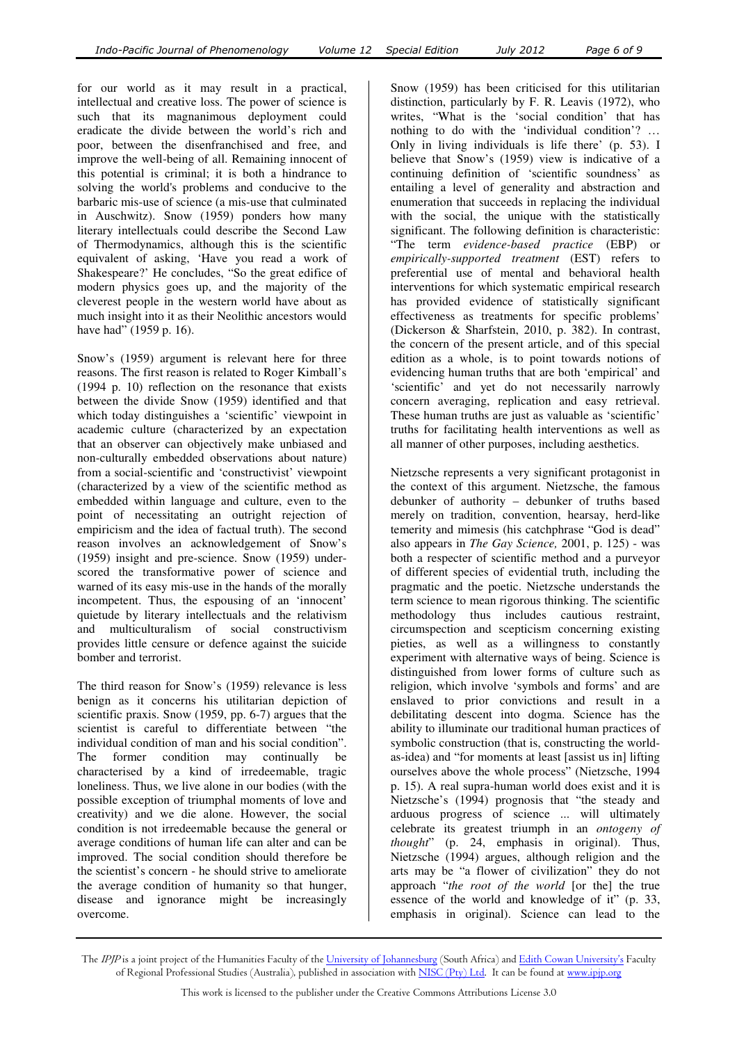for our world as it may result in a practical, intellectual and creative loss. The power of science is such that its magnanimous deployment could eradicate the divide between the world's rich and poor, between the disenfranchised and free, and improve the well-being of all. Remaining innocent of this potential is criminal; it is both a hindrance to solving the world's problems and conducive to the barbaric mis-use of science (a mis-use that culminated in Auschwitz). Snow (1959) ponders how many literary intellectuals could describe the Second Law of Thermodynamics, although this is the scientific equivalent of asking, 'Have you read a work of Shakespeare?' He concludes, "So the great edifice of modern physics goes up, and the majority of the cleverest people in the western world have about as much insight into it as their Neolithic ancestors would have had" (1959 p. 16).

Snow's (1959) argument is relevant here for three reasons. The first reason is related to Roger Kimball's (1994 p. 10) reflection on the resonance that exists between the divide Snow (1959) identified and that which today distinguishes a 'scientific' viewpoint in academic culture (characterized by an expectation that an observer can objectively make unbiased and non-culturally embedded observations about nature) from a social-scientific and 'constructivist' viewpoint (characterized by a view of the scientific method as embedded within language and culture, even to the point of necessitating an outright rejection of empiricism and the idea of factual truth). The second reason involves an acknowledgement of Snow's (1959) insight and pre-science. Snow (1959) underscored the transformative power of science and warned of its easy mis-use in the hands of the morally incompetent. Thus, the espousing of an 'innocent' quietude by literary intellectuals and the relativism and multiculturalism of social constructivism provides little censure or defence against the suicide bomber and terrorist.

The third reason for Snow's (1959) relevance is less benign as it concerns his utilitarian depiction of scientific praxis. Snow (1959, pp. 6-7) argues that the scientist is careful to differentiate between "the individual condition of man and his social condition". The former condition may continually be characterised by a kind of irredeemable, tragic loneliness. Thus, we live alone in our bodies (with the possible exception of triumphal moments of love and creativity) and we die alone. However, the social condition is not irredeemable because the general or average conditions of human life can alter and can be improved. The social condition should therefore be the scientist's concern - he should strive to ameliorate the average condition of humanity so that hunger, disease and ignorance might be increasingly overcome.

Snow (1959) has been criticised for this utilitarian distinction, particularly by F. R. Leavis (1972), who writes, "What is the 'social condition' that has nothing to do with the 'individual condition'? … Only in living individuals is life there' (p. 53). I believe that Snow's (1959) view is indicative of a continuing definition of 'scientific soundness' as entailing a level of generality and abstraction and enumeration that succeeds in replacing the individual with the social, the unique with the statistically significant. The following definition is characteristic: "The term *evidence-based practice* (EBP) or *empirically-supported treatment* (EST) refers to preferential use of mental and behavioral health interventions for which systematic empirical research has provided evidence of statistically significant effectiveness as treatments for specific problems' (Dickerson & Sharfstein, 2010, p. 382). In contrast, the concern of the present article, and of this special edition as a whole, is to point towards notions of evidencing human truths that are both 'empirical' and 'scientific' and yet do not necessarily narrowly concern averaging, replication and easy retrieval. These human truths are just as valuable as 'scientific' truths for facilitating health interventions as well as all manner of other purposes, including aesthetics.

Nietzsche represents a very significant protagonist in the context of this argument. Nietzsche, the famous debunker of authority – debunker of truths based merely on tradition, convention, hearsay, herd-like temerity and mimesis (his catchphrase "God is dead" also appears in *The Gay Science,* 2001, p. 125) - was both a respecter of scientific method and a purveyor of different species of evidential truth, including the pragmatic and the poetic. Nietzsche understands the term science to mean rigorous thinking. The scientific methodology thus includes cautious restraint, circumspection and scepticism concerning existing pieties, as well as a willingness to constantly experiment with alternative ways of being. Science is distinguished from lower forms of culture such as religion, which involve 'symbols and forms' and are enslaved to prior convictions and result in a debilitating descent into dogma. Science has the ability to illuminate our traditional human practices of symbolic construction (that is, constructing the worldas-idea) and "for moments at least [assist us in] lifting ourselves above the whole process" (Nietzsche, 1994 p. 15). A real supra-human world does exist and it is Nietzsche's (1994) prognosis that "the steady and arduous progress of science ... will ultimately celebrate its greatest triumph in an *ontogeny of thought*" (p. 24, emphasis in original). Thus, Nietzsche (1994) argues, although religion and the arts may be "a flower of civilization" they do not approach "*the root of the world* [or the] the true essence of the world and knowledge of it" (p. 33, emphasis in original). Science can lead to the

The IPJP is a joint project of the Humanities Faculty of the University of Johannesburg (South Africa) and Edith Cowan University's Faculty of Regional Professional Studies (Australia), published in association with NISC (Pty) Ltd. It can be found at www.ipjp.org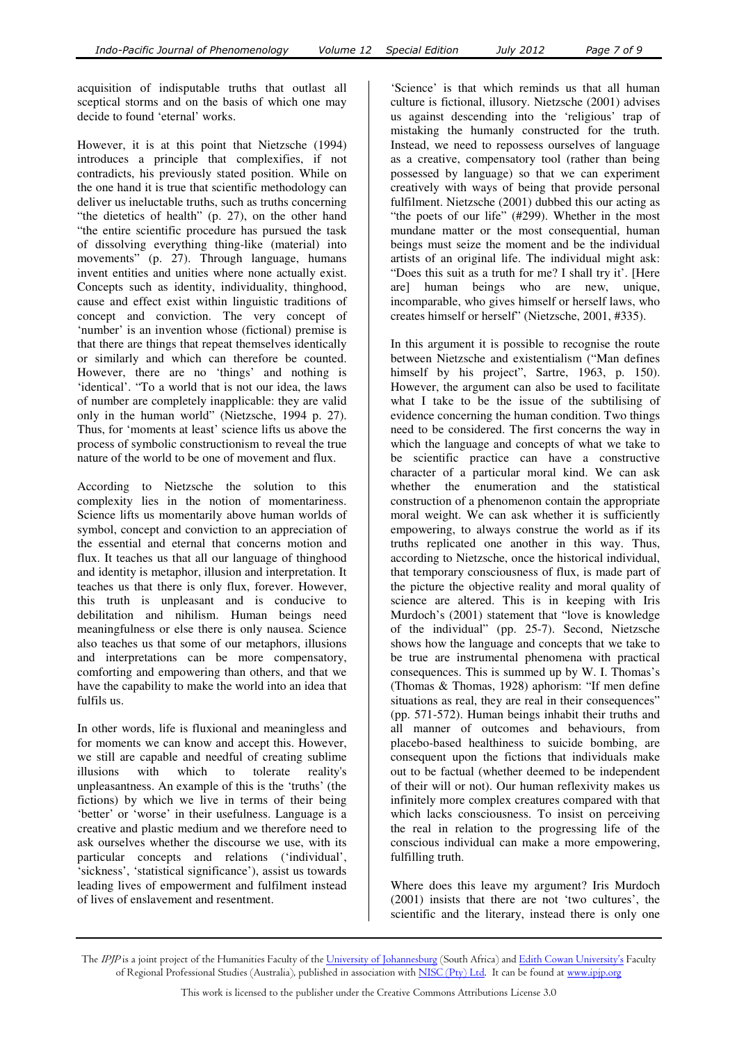acquisition of indisputable truths that outlast all sceptical storms and on the basis of which one may decide to found 'eternal' works.

However, it is at this point that Nietzsche (1994) introduces a principle that complexifies, if not contradicts, his previously stated position. While on the one hand it is true that scientific methodology can deliver us ineluctable truths, such as truths concerning "the dietetics of health" (p. 27), on the other hand "the entire scientific procedure has pursued the task of dissolving everything thing-like (material) into movements" (p. 27). Through language, humans invent entities and unities where none actually exist. Concepts such as identity, individuality, thinghood, cause and effect exist within linguistic traditions of concept and conviction. The very concept of 'number' is an invention whose (fictional) premise is that there are things that repeat themselves identically or similarly and which can therefore be counted. However, there are no 'things' and nothing is 'identical'. "To a world that is not our idea, the laws of number are completely inapplicable: they are valid only in the human world" (Nietzsche, 1994 p. 27). Thus, for 'moments at least' science lifts us above the process of symbolic constructionism to reveal the true nature of the world to be one of movement and flux.

According to Nietzsche the solution to this complexity lies in the notion of momentariness. Science lifts us momentarily above human worlds of symbol, concept and conviction to an appreciation of the essential and eternal that concerns motion and flux. It teaches us that all our language of thinghood and identity is metaphor, illusion and interpretation. It teaches us that there is only flux, forever. However, this truth is unpleasant and is conducive to debilitation and nihilism. Human beings need meaningfulness or else there is only nausea. Science also teaches us that some of our metaphors, illusions and interpretations can be more compensatory, comforting and empowering than others, and that we have the capability to make the world into an idea that fulfils us.

In other words, life is fluxional and meaningless and for moments we can know and accept this. However, we still are capable and needful of creating sublime illusions with which to tolerate reality's unpleasantness. An example of this is the 'truths' (the fictions) by which we live in terms of their being 'better' or 'worse' in their usefulness. Language is a creative and plastic medium and we therefore need to ask ourselves whether the discourse we use, with its particular concepts and relations ('individual', 'sickness', 'statistical significance'), assist us towards leading lives of empowerment and fulfilment instead of lives of enslavement and resentment.

'Science' is that which reminds us that all human culture is fictional, illusory. Nietzsche (2001) advises us against descending into the 'religious' trap of mistaking the humanly constructed for the truth. Instead, we need to repossess ourselves of language as a creative, compensatory tool (rather than being possessed by language) so that we can experiment creatively with ways of being that provide personal fulfilment. Nietzsche (2001) dubbed this our acting as "the poets of our life" (#299). Whether in the most mundane matter or the most consequential, human beings must seize the moment and be the individual artists of an original life. The individual might ask: "Does this suit as a truth for me? I shall try it'. [Here are] human beings who are new, unique, incomparable, who gives himself or herself laws, who creates himself or herself" (Nietzsche, 2001, #335).

In this argument it is possible to recognise the route between Nietzsche and existentialism ("Man defines himself by his project", Sartre, 1963, p. 150). However, the argument can also be used to facilitate what I take to be the issue of the subtilising of evidence concerning the human condition. Two things need to be considered. The first concerns the way in which the language and concepts of what we take to be scientific practice can have a constructive character of a particular moral kind. We can ask whether the enumeration and the statistical construction of a phenomenon contain the appropriate moral weight. We can ask whether it is sufficiently empowering, to always construe the world as if its truths replicated one another in this way. Thus, according to Nietzsche, once the historical individual, that temporary consciousness of flux, is made part of the picture the objective reality and moral quality of science are altered. This is in keeping with Iris Murdoch's (2001) statement that "love is knowledge of the individual" (pp. 25-7). Second, Nietzsche shows how the language and concepts that we take to be true are instrumental phenomena with practical consequences. This is summed up by W. I. Thomas's (Thomas & Thomas, 1928) aphorism: "If men define situations as real, they are real in their consequences" (pp. 571-572). Human beings inhabit their truths and all manner of outcomes and behaviours, from placebo-based healthiness to suicide bombing, are consequent upon the fictions that individuals make out to be factual (whether deemed to be independent of their will or not). Our human reflexivity makes us infinitely more complex creatures compared with that which lacks consciousness. To insist on perceiving the real in relation to the progressing life of the conscious individual can make a more empowering, fulfilling truth.

Where does this leave my argument? Iris Murdoch (2001) insists that there are not 'two cultures', the scientific and the literary, instead there is only one

The IPJP is a joint project of the Humanities Faculty of the University of Johannesburg (South Africa) and Edith Cowan University's Faculty of Regional Professional Studies (Australia), published in association with NISC (Pty) Ltd. It can be found at www.ipjp.org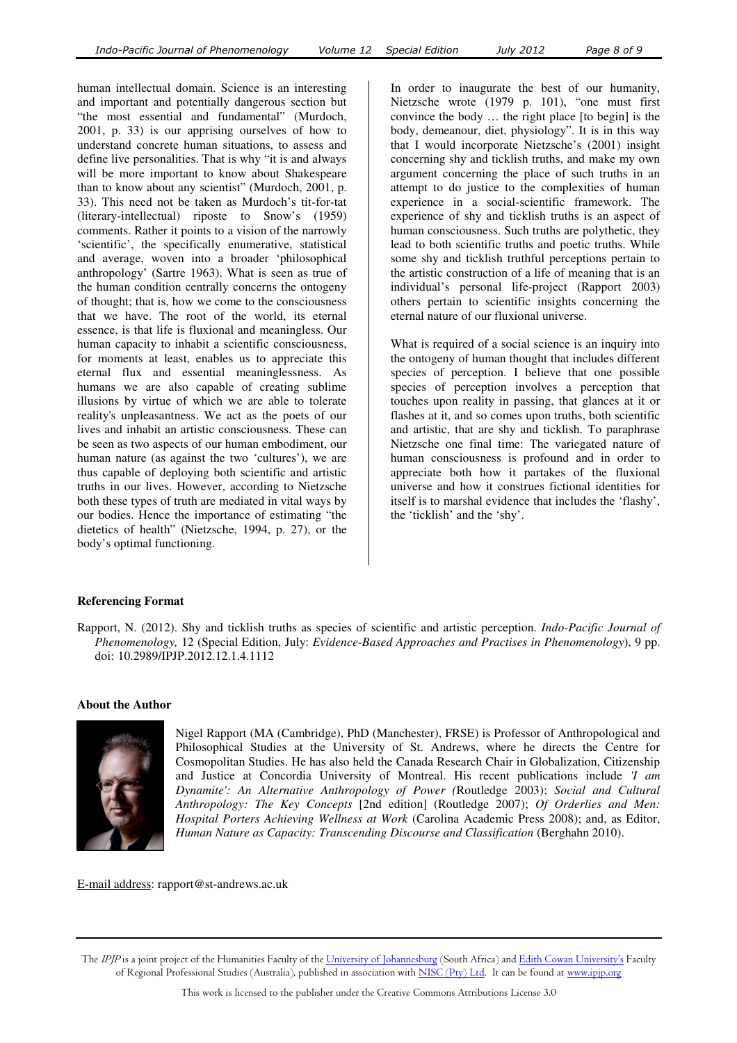human intellectual domain. Science is an interesting and important and potentially dangerous section but "the most essential and fundamental" (Murdoch, 2001, p. 33) is our apprising ourselves of how to understand concrete human situations, to assess and define live personalities. That is why "it is and always will be more important to know about Shakespeare than to know about any scientist" (Murdoch, 2001, p. 33). This need not be taken as Murdoch's tit-for-tat (literary-intellectual) riposte to Snow's (1959) comments. Rather it points to a vision of the narrowly 'scientific', the specifically enumerative, statistical and average, woven into a broader 'philosophical anthropology' (Sartre 1963). What is seen as true of the human condition centrally concerns the ontogeny of thought; that is, how we come to the consciousness that we have. The root of the world, its eternal essence, is that life is fluxional and meaningless. Our human capacity to inhabit a scientific consciousness, for moments at least, enables us to appreciate this eternal flux and essential meaninglessness. As humans we are also capable of creating sublime illusions by virtue of which we are able to tolerate reality's unpleasantness. We act as the poets of our lives and inhabit an artistic consciousness. These can be seen as two aspects of our human embodiment, our human nature (as against the two 'cultures'), we are thus capable of deploying both scientific and artistic truths in our lives. However, according to Nietzsche both these types of truth are mediated in vital ways by our bodies. Hence the importance of estimating "the dietetics of health" (Nietzsche, 1994, p. 27), or the body's optimal functioning.

In order to inaugurate the best of our humanity, Nietzsche wrote (1979 p. 101), "one must first convince the body … the right place [to begin] is the body, demeanour, diet, physiology". It is in this way that I would incorporate Nietzsche's (2001) insight concerning shy and ticklish truths, and make my own argument concerning the place of such truths in an attempt to do justice to the complexities of human experience in a social-scientific framework. The experience of shy and ticklish truths is an aspect of human consciousness. Such truths are polythetic, they lead to both scientific truths and poetic truths. While some shy and ticklish truthful perceptions pertain to the artistic construction of a life of meaning that is an individual's personal life-project (Rapport 2003) others pertain to scientific insights concerning the eternal nature of our fluxional universe.

What is required of a social science is an inquiry into the ontogeny of human thought that includes different species of perception. I believe that one possible species of perception involves a perception that touches upon reality in passing, that glances at it or flashes at it, and so comes upon truths, both scientific and artistic, that are shy and ticklish. To paraphrase Nietzsche one final time: The variegated nature of human consciousness is profound and in order to appreciate both how it partakes of the fluxional universe and how it construes fictional identities for itself is to marshal evidence that includes the 'flashy', the 'ticklish' and the 'shy'.

#### **Referencing Format**

Rapport, N. (2012). Shy and ticklish truths as species of scientific and artistic perception. *Indo-Pacific Journal of Phenomenology,* 12 (Special Edition, July: *Evidence-Based Approaches and Practises in Phenomenology*), 9 pp. doi: 10.2989/IPJP.2012.12.1.4.1112

#### **About the Author**



Nigel Rapport (MA (Cambridge), PhD (Manchester), FRSE) is Professor of Anthropological and Philosophical Studies at the University of St. Andrews, where he directs the Centre for Cosmopolitan Studies. He has also held the Canada Research Chair in Globalization, Citizenship and Justice at Concordia University of Montreal. His recent publications include *'I am Dynamite': An Alternative Anthropology of Power (*Routledge 2003); *Social and Cultural Anthropology: The Key Concepts* [2nd edition] (Routledge 2007); *Of Orderlies and Men: Hospital Porters Achieving Wellness at Work* (Carolina Academic Press 2008); and, as Editor, *Human Nature as Capacity: Transcending Discourse and Classification* (Berghahn 2010).

E-mail address: rapport@st-andrews.ac.uk

The IPJP is a joint project of the Humanities Faculty of the University of Johannesburg (South Africa) and Edith Cowan University's Faculty of Regional Professional Studies (Australia), published in association with NISC (Pty) Ltd. It can be found at www.ipjp.org